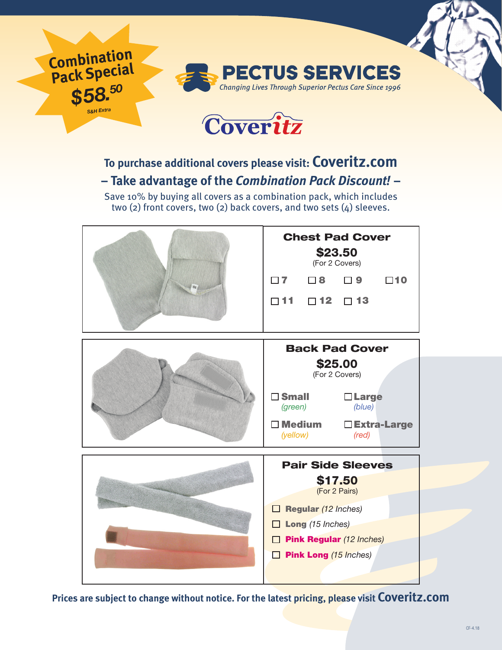

## **To purchase additional covers please visit: Coveritz.com – Take advantage of the** *Combination Pack Discount!* **–**

Save 10% by buying all covers as a combination pack, which includes two (2) front covers, two (2) back covers, and two sets (4) sleeves.



**Prices are subject to change without notice. For the latest pricing, please visit Coveritz.com**